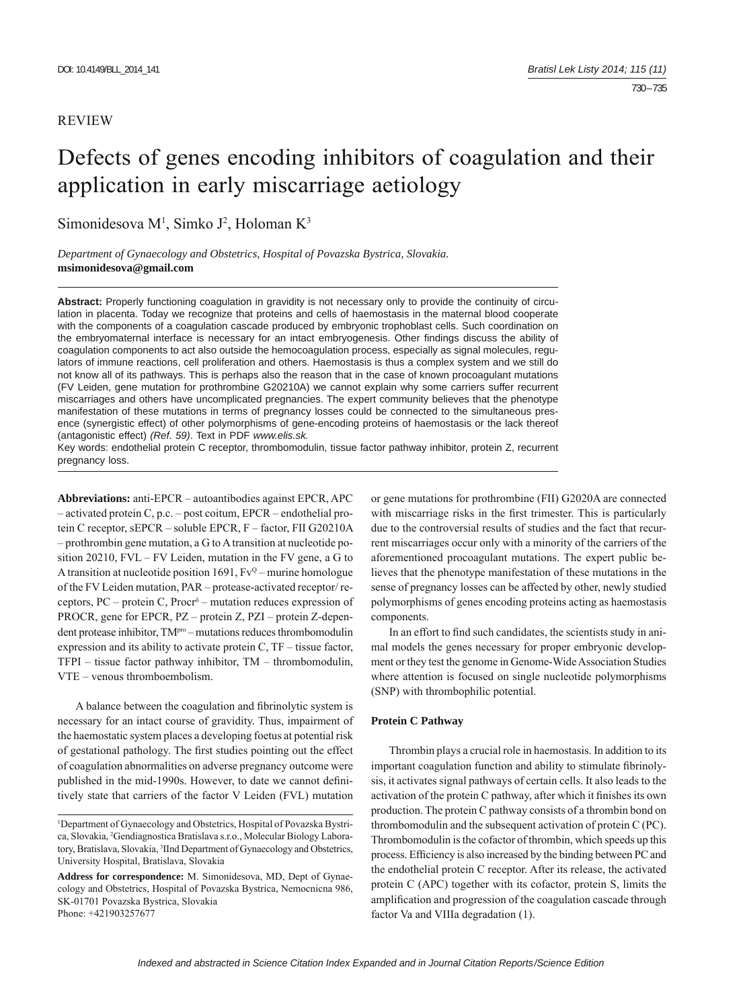## REVIEW

# Defects of genes encoding inhibitors of coagulation and their application in early miscarriage aetiology

Simonidesova M<sup>1</sup>, Simko J<sup>2</sup>, Holoman K<sup>3</sup>

*Department of Gynaecology and Obstetrics, Hospital of Povazska Bystrica, Slovakia.*  **msimonidesova@gmail.com**

**Abstract:** Properly functioning coagulation in gravidity is not necessary only to provide the continuity of circulation in placenta. Today we recognize that proteins and cells of haemostasis in the maternal blood cooperate with the components of a coagulation cascade produced by embryonic trophoblast cells. Such coordination on the embryomaternal interface is necessary for an intact embryogenesis. Other findings discuss the ability of coagulation components to act also outside the hemocoagulation process, especially as signal molecules, regulators of immune reactions, cell proliferation and others. Haemostasis is thus a complex system and we still do not know all of its pathways. This is perhaps also the reason that in the case of known procoagulant mutations (FV Leiden, gene mutation for prothrombine G20210A) we cannot explain why some carriers suffer recurrent miscarriages and others have uncomplicated pregnancies. The expert community believes that the phenotype manifestation of these mutations in terms of pregnancy losses could be connected to the simultaneous presence (synergistic effect) of other polymorphisms of gene-encoding proteins of haemostasis or the lack thereof (antagonistic effect) *(Ref. 59)*. Text in PDF *www.elis.sk.*

Key words: endothelial protein C receptor, thrombomodulin, tissue factor pathway inhibitor, protein Z, recurrent pregnancy loss.

**Abbreviations:** anti-EPCR – autoantibodies against EPCR, APC – activated protein C, p.c. – post coitum, EPCR – endothelial protein C receptor, sEPCR – soluble EPCR, F – factor, FII G20210A – prothrombin gene mutation, a G to A transition at nucleotide position 20210, FVL – FV Leiden, mutation in the FV gene, a G to A transition at nucleotide position 1691,  $Fv^Q$  – murine homologue of the FV Leiden mutation, PAR – protease-activated receptor/ receptors, PC – protein C, Procr $\delta$  – mutation reduces expression of PROCR, gene for EPCR, PZ – protein Z, PZI – protein Z-dependent protease inhibitor, TM<sup>pro</sup> – mutations reduces thrombomodulin expression and its ability to activate protein C, TF – tissue factor, TFPI – tissue factor pathway inhibitor, TM – thrombomodulin, VTE – venous thromboembolism.

A balance between the coagulation and fibrinolytic system is necessary for an intact course of gravidity. Thus, impairment of the haemostatic system places a developing foetus at potential risk of gestational pathology. The first studies pointing out the effect of coagulation abnormalities on adverse pregnancy outcome were published in the mid-1990s. However, to date we cannot definitively state that carriers of the factor V Leiden (FVL) mutation or gene mutations for prothrombine (FII) G2020A are connected with miscarriage risks in the first trimester. This is particularly due to the controversial results of studies and the fact that recurrent miscarriages occur only with a minority of the carriers of the aforementioned procoagulant mutations. The expert public believes that the phenotype manifestation of these mutations in the sense of pregnancy losses can be affected by other, newly studied polymorphisms of genes encoding proteins acting as haemostasis components.

In an effort to find such candidates, the scientists study in animal models the genes necessary for proper embryonic development or they test the genome in Genome-Wide Association Studies where attention is focused on single nucleotide polymorphisms (SNP) with thrombophilic potential.

### **Protein C Pathway**

Thrombin plays a crucial role in haemostasis. In addition to its important coagulation function and ability to stimulate fibrinolysis, it activates signal pathways of certain cells. It also leads to the activation of the protein C pathway, after which it finishes its own production. The protein C pathway consists of a thrombin bond on thrombomodulin and the subsequent activation of protein C (PC). Thrombomodulin is the cofactor of thrombin, which speeds up this process. Efficiency is also increased by the binding between PC and the endothelial protein C receptor. After its release, the activated protein C (APC) together with its cofactor, protein S, limits the amplification and progression of the coagulation cascade through factor Va and VIIIa degradation (1).

<sup>1</sup> Department of Gynaecology and Obstetrics, Hospital of Povazska Bystrica, Slovakia, <sup>2</sup>Gendiagnostica Bratislava s.r.o., Molecular Biology Laboratory, Bratislava, Slovakia, 3 IInd Department of Gynaecology and Obstetrics, University Hospital, Bratislava, Slovakia

**Address for correspondence:** M. Simonidesova, MD, Dept of Gynaecology and Obstetrics, Hospital of Povazska Bystrica, Nemocnicna 986, SK-01701 Povazska Bystrica, Slovakia Phone: +421903257677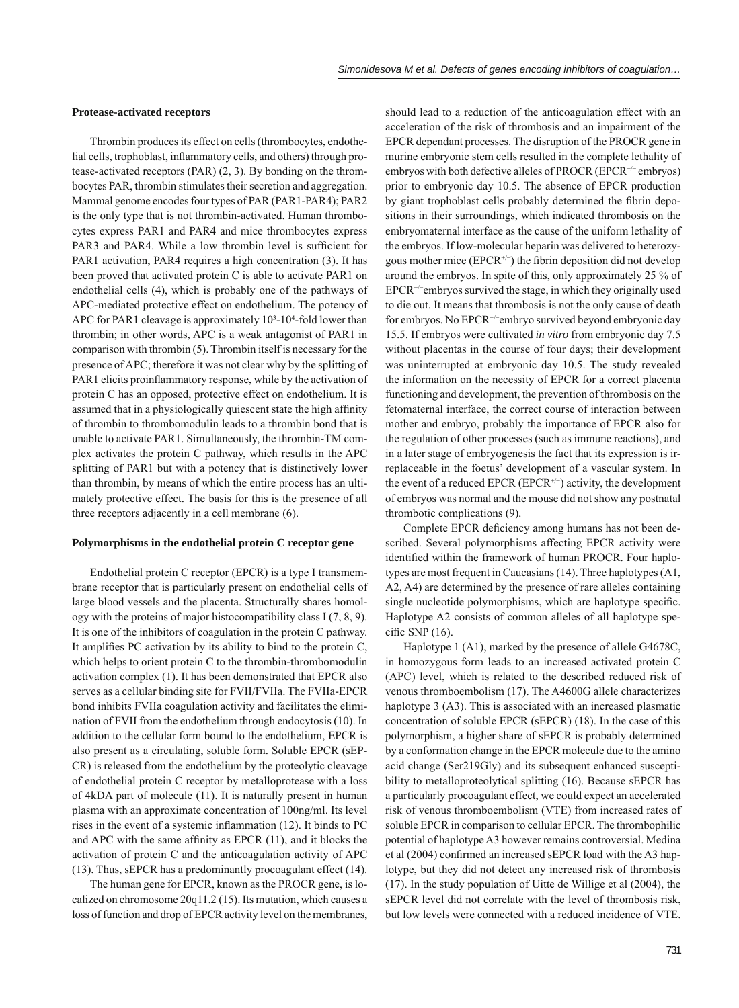#### **Protease-activated receptors**

Thrombin produces its effect on cells (thrombocytes, endothelial cells, trophoblast, inflammatory cells, and others) through protease-activated receptors (PAR) (2, 3). By bonding on the thrombocytes PAR, thrombin stimulates their secretion and aggregation. Mammal genome encodes four types of PAR (PAR1-PAR4); PAR2 is the only type that is not thrombin-activated. Human thrombocytes express PAR1 and PAR4 and mice thrombocytes express PAR3 and PAR4. While a low thrombin level is sufficient for PAR1 activation, PAR4 requires a high concentration (3). It has been proved that activated protein C is able to activate PAR1 on endothelial cells (4), which is probably one of the pathways of APC-mediated protective effect on endothelium. The potency of APC for PAR1 cleavage is approximately  $10<sup>3</sup>$ -10<sup>4</sup>-fold lower than thrombin; in other words, APC is a weak antagonist of PAR1 in comparison with thrombin (5). Thrombin itself is necessary for the presence of APC; therefore it was not clear why by the splitting of PAR1 elicits proinflammatory response, while by the activation of protein C has an opposed, protective effect on endothelium. It is assumed that in a physiologically quiescent state the high affinity of thrombin to thrombomodulin leads to a thrombin bond that is unable to activate PAR1. Simultaneously, the thrombin-TM complex activates the protein C pathway, which results in the APC splitting of PAR1 but with a potency that is distinctively lower than thrombin, by means of which the entire process has an ultimately protective effect. The basis for this is the presence of all three receptors adjacently in a cell membrane (6).

#### **Polymorphisms in the endothelial protein C receptor gene**

Endothelial protein C receptor (EPCR) is a type I transmembrane receptor that is particularly present on endothelial cells of large blood vessels and the placenta. Structurally shares homology with the proteins of major histocompatibility class I (7, 8, 9). It is one of the inhibitors of coagulation in the protein C pathway. It amplifies PC activation by its ability to bind to the protein  $C$ , which helps to orient protein C to the thrombin-thrombomodulin activation complex (1). It has been demonstrated that EPCR also serves as a cellular binding site for FVII/FVIIa. The FVIIa-EPCR bond inhibits FVIIa coagulation activity and facilitates the elimination of FVII from the endothelium through endocytosis (10). In addition to the cellular form bound to the endothelium, EPCR is also present as a circulating, soluble form. Soluble EPCR (sEP-CR) is released from the endothelium by the proteolytic cleavage of endothelial protein C receptor by metalloprotease with a loss of 4kDA part of molecule (11). It is naturally present in human plasma with an approximate concentration of 100ng/ml. Its level rises in the event of a systemic inflammation  $(12)$ . It binds to PC and APC with the same affinity as EPCR  $(11)$ , and it blocks the activation of protein C and the anticoagulation activity of APC (13). Thus, sEPCR has a predominantly procoagulant effect (14).

The human gene for EPCR, known as the PROCR gene, is localized on chromosome 20q11.2 (15). Its mutation, which causes a loss of function and drop of EPCR activity level on the membranes,

should lead to a reduction of the anticoagulation effect with an acceleration of the risk of thrombosis and an impairment of the EPCR dependant processes. The disruption of the PROCR gene in murine embryonic stem cells resulted in the complete lethality of embryos with both defective alleles of PROCR (EPCR<sup>-/−</sup> embryos) prior to embryonic day 10.5. The absence of EPCR production by giant trophoblast cells probably determined the fibrin depositions in their surroundings, which indicated thrombosis on the embryomaternal interface as the cause of the uniform lethality of the embryos. If low-molecular heparin was delivered to heterozygous mother mice  $(EPCR^{+/-})$  the fibrin deposition did not develop around the embryos. In spite of this, only approximately 25 % of EPCR−/<sup>−</sup> embryos survived the stage, in which they originally used to die out. It means that thrombosis is not the only cause of death for embryos. No EPCR−/<sup>−</sup> embryo survived beyond embryonic day 15.5. If embryos were cultivated *in vitro* from embryonic day 7.5 without placentas in the course of four days; their development was uninterrupted at embryonic day 10.5. The study revealed the information on the necessity of EPCR for a correct placenta functioning and development, the prevention of thrombosis on the fetomaternal interface, the correct course of interaction between mother and embryo, probably the importance of EPCR also for the regulation of other processes (such as immune reactions), and in a later stage of embryogenesis the fact that its expression is irreplaceable in the foetus' development of a vascular system. In the event of a reduced EPCR (EPCR<sup>+/-)</sup> activity, the development of embryos was normal and the mouse did not show any postnatal thrombotic complications (9)*.*

Complete EPCR deficiency among humans has not been described. Several polymorphisms affecting EPCR activity were identified within the framework of human PROCR. Four haplotypes are most frequent in Caucasians (14). Three haplotypes (A1, A2, A4) are determined by the presence of rare alleles containing single nucleotide polymorphisms, which are haplotype specific. Haplotype A2 consists of common alleles of all haplotype specific SNP  $(16)$ .

Haplotype 1 (A1), marked by the presence of allele G4678C, in homozygous form leads to an increased activated protein C (APC) level, which is related to the described reduced risk of venous thromboembolism (17). The A4600G allele characterizes haplotype 3 (A3). This is associated with an increased plasmatic concentration of soluble EPCR (sEPCR) (18). In the case of this polymorphism, a higher share of sEPCR is probably determined by a conformation change in the EPCR molecule due to the amino acid change (Ser219Gly) and its subsequent enhanced susceptibility to metalloproteolytical splitting (16). Because sEPCR has a particularly procoagulant effect, we could expect an accelerated risk of venous thromboembolism (VTE) from increased rates of soluble EPCR in comparison to cellular EPCR. The thrombophilic potential of haplotype A3 however remains controversial. Medina et al (2004) confirmed an increased sEPCR load with the A3 haplotype, but they did not detect any increased risk of thrombosis (17). In the study population of Uitte de Willige et al (2004), the sEPCR level did not correlate with the level of thrombosis risk, but low levels were connected with a reduced incidence of VTE.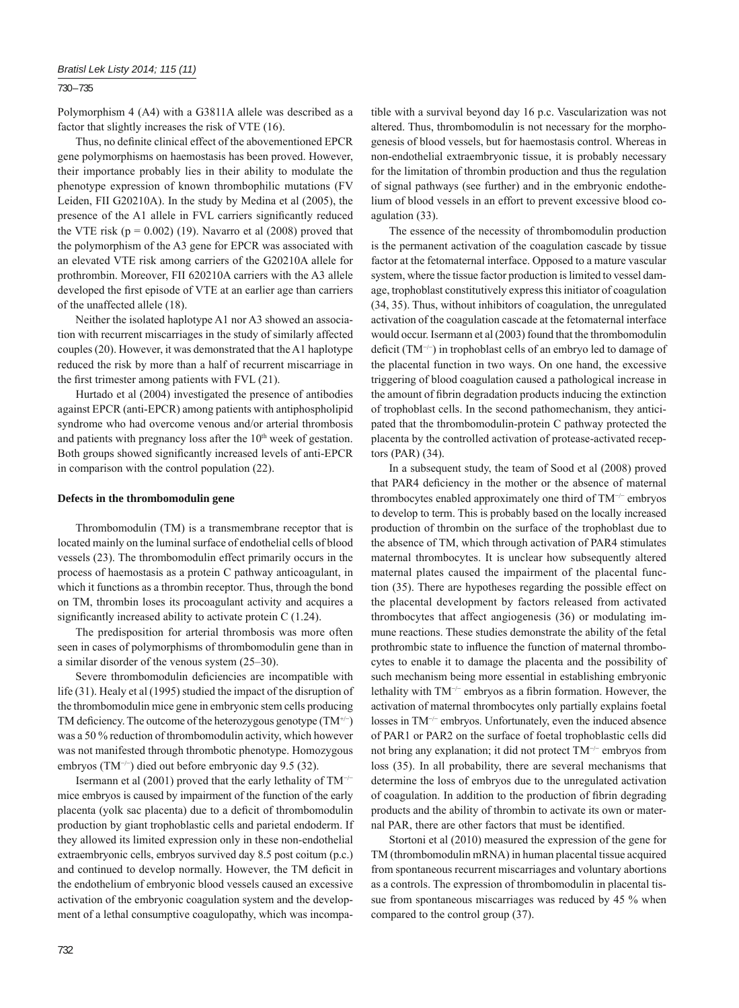## 730 – 735

Polymorphism 4 (A4) with a G3811A allele was described as a factor that slightly increases the risk of VTE (16).

Thus, no definite clinical effect of the abovementioned EPCR gene polymorphisms on haemostasis has been proved. However, their importance probably lies in their ability to modulate the phenotype expression of known thrombophilic mutations (FV Leiden, FII G20210A). In the study by Medina et al (2005), the presence of the A1 allele in FVL carriers significantly reduced the VTE risk  $(p = 0.002)$  (19). Navarro et al (2008) proved that the polymorphism of the A3 gene for EPCR was associated with an elevated VTE risk among carriers of the G20210A allele for prothrombin. Moreover, FII 620210A carriers with the A3 allele developed the first episode of VTE at an earlier age than carriers of the unaffected allele (18).

Neither the isolated haplotype A1 nor A3 showed an association with recurrent miscarriages in the study of similarly affected couples (20). However, it was demonstrated that the A1 haplotype reduced the risk by more than a half of recurrent miscarriage in the first trimester among patients with  $FVL(21)$ .

Hurtado et al (2004) investigated the presence of antibodies against EPCR (anti-EPCR) among patients with antiphospholipid syndrome who had overcome venous and/or arterial thrombosis and patients with pregnancy loss after the  $10<sup>th</sup>$  week of gestation. Both groups showed significantly increased levels of anti-EPCR in comparison with the control population (22).

#### **Defects in the thrombomodulin gene**

Thrombomodulin (TM) is a transmembrane receptor that is located mainly on the luminal surface of endothelial cells of blood vessels (23). The thrombomodulin effect primarily occurs in the process of haemostasis as a protein C pathway anticoagulant, in which it functions as a thrombin receptor. Thus, through the bond on TM, thrombin loses its procoagulant activity and acquires a significantly increased ability to activate protein  $C(1.24)$ .

The predisposition for arterial thrombosis was more often seen in cases of polymorphisms of thrombomodulin gene than in a similar disorder of the venous system (25–30).

Severe thrombomodulin deficiencies are incompatible with life (31). Healy et al (1995) studied the impact of the disruption of the thrombomodulin mice gene in embryonic stem cells producing TM deficiency. The outcome of the heterozygous genotype  $(TM^{+/-})$ was a 50 % reduction of thrombomodulin activity, which however was not manifested through thrombotic phenotype. Homozygous embryos (TM−/<sup>−</sup> ) died out before embryonic day 9.5 (32).

Isermann et al (2001) proved that the early lethality of TM−/<sup>−</sup> mice embryos is caused by impairment of the function of the early placenta (yolk sac placenta) due to a deficit of thrombomodulin production by giant trophoblastic cells and parietal endoderm. If they allowed its limited expression only in these non-endothelial extraembryonic cells, embryos survived day 8.5 post coitum (p.c.) and continued to develop normally. However, the TM deficit in the endothelium of embryonic blood vessels caused an excessive activation of the embryonic coagulation system and the development of a lethal consumptive coagulopathy, which was incompatible with a survival beyond day 16 p.c. Vascularization was not altered. Thus, thrombomodulin is not necessary for the morphogenesis of blood vessels, but for haemostasis control. Whereas in non-endothelial extraembryonic tissue, it is probably necessary for the limitation of thrombin production and thus the regulation of signal pathways (see further) and in the embryonic endothelium of blood vessels in an effort to prevent excessive blood coagulation (33).

The essence of the necessity of thrombomodulin production is the permanent activation of the coagulation cascade by tissue factor at the fetomaternal interface. Opposed to a mature vascular system, where the tissue factor production is limited to vessel damage, trophoblast constitutively express this initiator of coagulation (34, 35). Thus, without inhibitors of coagulation, the unregulated activation of the coagulation cascade at the fetomaternal interface would occur. Isermann et al (2003) found that the thrombomodulin deficit (TM<sup>-/−</sup>) in trophoblast cells of an embryo led to damage of the placental function in two ways. On one hand, the excessive triggering of blood coagulation caused a pathological increase in the amount of fibrin degradation products inducing the extinction of trophoblast cells. In the second pathomechanism, they anticipated that the thrombomodulin-protein C pathway protected the placenta by the controlled activation of protease-activated receptors (PAR) (34).

In a subsequent study, the team of Sood et al (2008) proved that PAR4 deficiency in the mother or the absence of maternal thrombocytes enabled approximately one third of TM−/<sup>−</sup> embryos to develop to term. This is probably based on the locally increased production of thrombin on the surface of the trophoblast due to the absence of TM, which through activation of PAR4 stimulates maternal thrombocytes. It is unclear how subsequently altered maternal plates caused the impairment of the placental function (35). There are hypotheses regarding the possible effect on the placental development by factors released from activated thrombocytes that affect angiogenesis (36) or modulating immune reactions. These studies demonstrate the ability of the fetal prothrombic state to influence the function of maternal thrombocytes to enable it to damage the placenta and the possibility of such mechanism being more essential in establishing embryonic lethality with TM<sup>-/−</sup> embryos as a fibrin formation. However, the activation of maternal thrombocytes only partially explains foetal losses in TM−/<sup>−</sup> embryos. Unfortunately, even the induced absence of PAR1 or PAR2 on the surface of foetal trophoblastic cells did not bring any explanation; it did not protect TM−/<sup>−</sup> embryos from loss (35). In all probability, there are several mechanisms that determine the loss of embryos due to the unregulated activation of coagulation. In addition to the production of fibrin degrading products and the ability of thrombin to activate its own or maternal PAR, there are other factors that must be identified.

Stortoni et al (2010) measured the expression of the gene for TM (thrombomodulin mRNA) in human placental tissue acquired from spontaneous recurrent miscarriages and voluntary abortions as a controls. The expression of thrombomodulin in placental tissue from spontaneous miscarriages was reduced by 45 % when compared to the control group (37).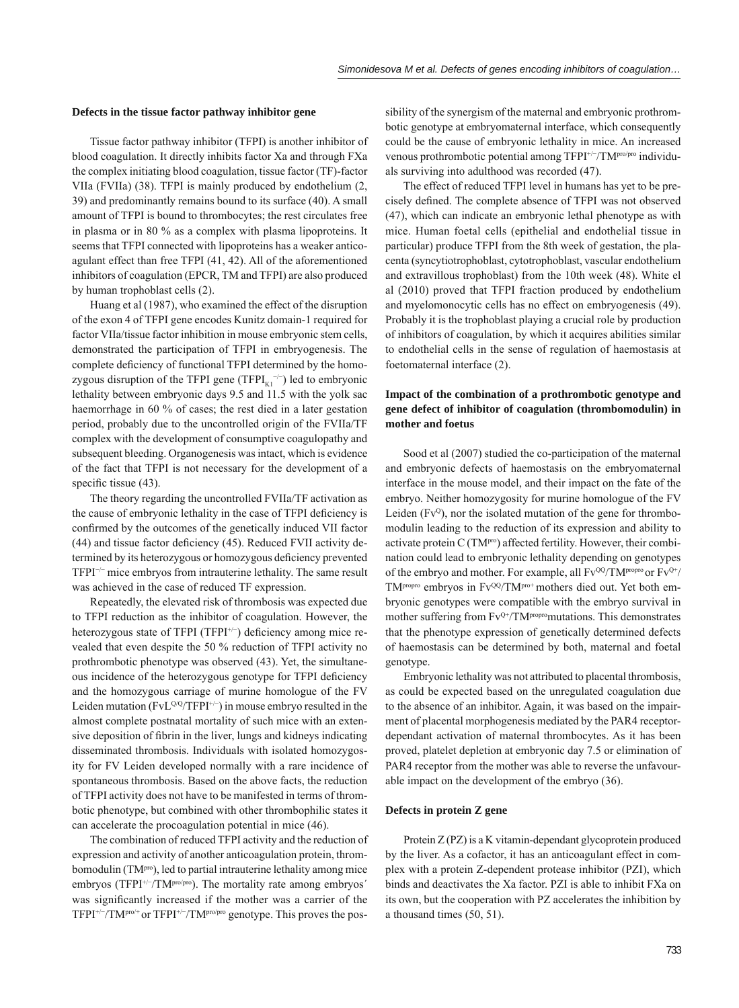#### **Defects in the tissue factor pathway inhibitor gene**

Tissue factor pathway inhibitor (TFPI) is another inhibitor of blood coagulation. It directly inhibits factor Xa and through FXa the complex initiating blood coagulation, tissue factor (TF)-factor VIIa (FVIIa) (38). TFPI is mainly produced by endothelium (2, 39) and predominantly remains bound to its surface (40). A small amount of TFPI is bound to thrombocytes; the rest circulates free in plasma or in 80 % as a complex with plasma lipoproteins. It seems that TFPI connected with lipoproteins has a weaker anticoagulant effect than free TFPI (41, 42). All of the aforementioned inhibitors of coagulation (EPCR, TM and TFPI) are also produced by human trophoblast cells (2).

Huang et al (1987), who examined the effect of the disruption of the exon 4 of TFPI gene encodes Kunitz domain-1 required for factor VIIa/tissue factor inhibition in mouse embryonic stem cells, demonstrated the participation of TFPI in embryogenesis. The complete deficiency of functional TFPI determined by the homozygous disruption of the TFPI gene (TFPI $_{K1}^{-/-}$ ) led to embryonic lethality between embryonic days 9.5 and 11.5 with the yolk sac haemorrhage in 60 % of cases; the rest died in a later gestation period, probably due to the uncontrolled origin of the FVIIa/TF complex with the development of consumptive coagulopathy and subsequent bleeding. Organogenesis was intact, which is evidence of the fact that TFPI is not necessary for the development of a specific tissue  $(43)$ .

The theory regarding the uncontrolled FVIIa/TF activation as the cause of embryonic lethality in the case of TFPI deficiency is confirmed by the outcomes of the genetically induced VII factor  $(44)$  and tissue factor deficiency  $(45)$ . Reduced FVII activity determined by its heterozygous or homozygous deficiency prevented TFPI−/<sup>−</sup> mice embryos from intrauterine lethality. The same result was achieved in the case of reduced TF expression.

Repeatedly, the elevated risk of thrombosis was expected due to TFPI reduction as the inhibitor of coagulation. However, the heterozygous state of TFPI (TFPI<sup>+/-</sup>) deficiency among mice revealed that even despite the 50 % reduction of TFPI activity no prothrombotic phenotype was observed (43). Yet, the simultaneous incidence of the heterozygous genotype for TFPI deficiency and the homozygous carriage of murine homologue of the FV Leiden mutation ( $FvL^{Q/Q}/TFPI^{+/-}$ ) in mouse embryo resulted in the almost complete postnatal mortality of such mice with an extensive deposition of fibrin in the liver, lungs and kidneys indicating disseminated thrombosis. Individuals with isolated homozygosity for FV Leiden developed normally with a rare incidence of spontaneous thrombosis. Based on the above facts, the reduction of TFPI activity does not have to be manifested in terms of thrombotic phenotype, but combined with other thrombophilic states it can accelerate the procoagulation potential in mice (46).

The combination of reduced TFPI activity and the reduction of expression and activity of another anticoagulation protein, thrombomodulin (TM<sup>pro</sup>), led to partial intrauterine lethality among mice embryos (TFPI<sup>+/-</sup>/TM<sup>pro/pro</sup>). The mortality rate among embryos' was significantly increased if the mother was a carrier of the TFPI<sup>+/-</sup>/TM<sup>pro/+</sup> or TFPI<sup>+/-</sup>/TM<sup>pro/pro</sup> genotype. This proves the pos-

sibility of the synergism of the maternal and embryonic prothrombotic genotype at embryomaternal interface, which consequently could be the cause of embryonic lethality in mice. An increased venous prothrombotic potential among TFPI+/<sup>−</sup> /TMpro/pro individuals surviving into adulthood was recorded (47).

The effect of reduced TFPI level in humans has yet to be precisely defined. The complete absence of TFPI was not observed (47), which can indicate an embryonic lethal phenotype as with mice. Human foetal cells (epithelial and endothelial tissue in particular) produce TFPI from the 8th week of gestation, the placenta (syncytiotrophoblast, cytotrophoblast, vascular endothelium and extravillous trophoblast) from the 10th week (48). White el al (2010) proved that TFPI fraction produced by endothelium and myelomonocytic cells has no effect on embryogenesis (49). Probably it is the trophoblast playing a crucial role by production of inhibitors of coagulation, by which it acquires abilities similar to endothelial cells in the sense of regulation of haemostasis at foetomaternal interface (2).

# **Impact of the combination of a prothrombotic genotype and gene defect of inhibitor of coagulation (thrombomodulin) in mother and foetus**

Sood et al (2007) studied the co-participation of the maternal and embryonic defects of haemostasis on the embryomaternal interface in the mouse model, and their impact on the fate of the embryo. Neither homozygosity for murine homologue of the FV Leiden ( $Fv^Q$ ), nor the isolated mutation of the gene for thrombomodulin leading to the reduction of its expression and ability to activate protein C (TM<sup>pro</sup>) affected fertility. However, their combination could lead to embryonic lethality depending on genotypes of the embryo and mother. For example, all  $Fv^{QQ}/TM^{propro}$  or  $Fv^{Q+}/$ TM<sup>propro</sup> embryos in Fv<sup>QQ</sup>/TM<sup>pro+</sup> mothers died out. Yet both embryonic genotypes were compatible with the embryo survival in mother suffering from  $Fv^{Q+}/TM$ <sup>propro</sup>mutations. This demonstrates that the phenotype expression of genetically determined defects of haemostasis can be determined by both, maternal and foetal genotype.

Embryonic lethality was not attributed to placental thrombosis, as could be expected based on the unregulated coagulation due to the absence of an inhibitor. Again, it was based on the impairment of placental morphogenesis mediated by the PAR4 receptordependant activation of maternal thrombocytes. As it has been proved, platelet depletion at embryonic day 7.5 or elimination of PAR4 receptor from the mother was able to reverse the unfavourable impact on the development of the embryo (36).

#### **Defects in protein Z gene**

Protein Z (PZ) is a K vitamin-dependant glycoprotein produced by the liver. As a cofactor, it has an anticoagulant effect in complex with a protein Z-dependent protease inhibitor (PZI), which binds and deactivates the Xa factor. PZI is able to inhibit FXa on its own, but the cooperation with PZ accelerates the inhibition by a thousand times (50, 51).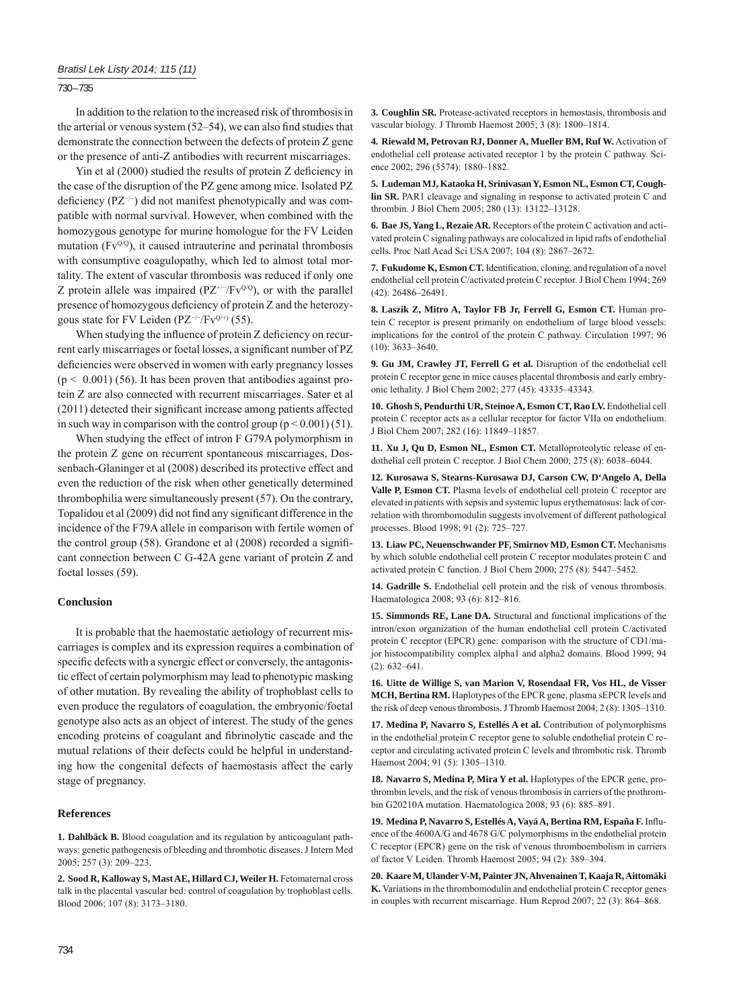730 – 735

In addition to the relation to the increased risk of thrombosis in the arterial or venous system  $(52–54)$ , we can also find studies that demonstrate the connection between the defects of protein Z gene or the presence of anti-Z antibodies with recurrent miscarriages.

Yin et al  $(2000)$  studied the results of protein Z deficiency in the case of the disruption of the PZ gene among mice. Isolated PZ deficiency (PZ<sup>-/-</sup>) did not manifest phenotypically and was compatible with normal survival. However, when combined with the homozygous genotype for murine homologue for the FV Leiden mutation  $(Fv^{Q/Q})$ , it caused intrauterine and perinatal thrombosis with consumptive coagulopathy, which led to almost total mortality. The extent of vascular thrombosis was reduced if only one Z protein allele was impaired ( $PZ^{+/-}/Fv^{Q/Q}$ ), or with the parallel presence of homozygous deficiency of protein Z and the heterozygous state for FV Leiden (PZ<sup>-/-</sup>/Fv<sup>Q/+)</sup> (55).

When studying the influence of protein Z deficiency on recurrent early miscarriages or foetal losses, a significant number of PZ deficiencies were observed in women with early pregnancy losses  $(p < 0.001)$  (56). It has been proven that antibodies against protein Z are also connected with recurrent miscarriages. Sater et al  $(2011)$  detected their significant increase among patients affected in such way in comparison with the control group  $(p < 0.001)$  (51).

When studying the effect of intron F G79A polymorphism in the protein Z gene on recurrent spontaneous miscarriages, Dossenbach-Glaninger et al (2008) described its protective effect and even the reduction of the risk when other genetically determined thrombophilia were simultaneously present (57). On the contrary, Topalidou et al (2009) did not find any significant difference in the incidence of the F79A allele in comparison with fertile women of the control group (58). Grandone et al (2008) recorded a significant connection between C G-42A gene variant of protein Z and foetal losses (59).

## **Conclusion**

It is probable that the haemostatic aetiology of recurrent miscarriages is complex and its expression requires a combination of specific defects with a synergic effect or conversely, the antagonistic effect of certain polymorphism may lead to phenotypic masking of other mutation. By revealing the ability of trophoblast cells to even produce the regulators of coagulation, the embryonic/foetal genotype also acts as an object of interest. The study of the genes encoding proteins of coagulant and fibrinolytic cascade and the mutual relations of their defects could be helpful in understanding how the congenital defects of haemostasis affect the early stage of pregnancy.

## **References**

**1. Dahlbäck B.** Blood coagulation and its regulation by anticoagulant pathways: genetic pathogenesis of bleeding and thrombotic diseases. J Intern Med 2005; 257 (3): 209–223.

**2. Sood R, Kalloway S, Mast AE, Hillard CJ, Weiler H.** Fetomaternal cross talk in the placental vascular bed: control of coagulation by trophoblast cells. Blood 2006; 107 (8): 3173–3180.

**3. Coughlin SR.** Protease-activated receptors in hemostasis, thrombosis and vascular biology. J Thromb Haemost 2005; 3 (8): 1800–1814.

**4. Riewald M, Petrovan RJ, Donner A, Mueller BM, Ruf W.** Activation of endothelial cell protease activated receptor 1 by the protein C pathway. Science 2002; 296 (5574): 1880–1882.

**5. Ludeman MJ, Kataoka H, Srinivasan Y, Esmon NL, Esmon CT, Coughlin SR.** PAR1 cleavage and signaling in response to activated protein C and thrombin. J Biol Chem 2005; 280 (13): 13122–13128.

**6. Bae JS, Yang L, Rezaie AR.** Receptors of the protein C activation and activated protein C signaling pathways are colocalized in lipid rafts of endothelial cells. Proc Natl Acad Sci USA 2007; 104 (8): 2867–2672.

**7. Fukudome K, Esmon CT.** Identification, cloning, and regulation of a novel endothelial cell protein C/activated protein C receptor. J Biol Chem 1994; 269 (42): 26486–26491.

**8. Laszik Z, Mitro A, Taylor FB Jr, Ferrell G, Esmon CT.** Human protein C receptor is present primarily on endothelium of large blood vessels: implications for the control of the protein C pathway. Circulation 1997; 96 (10): 3633–3640.

**9. Gu JM, Crawley JT, Ferrell G et al.** Disruption of the endothelial cell protein C receptor gene in mice causes placental thrombosis and early embryonic lethality. J Biol Chem 2002; 277 (45): 43335–43343.

**10. Ghosh S, Pendurthi UR, Steinoe A, Esmon CT, Rao LV.** Endothelial cell protein C receptor acts as a cellular receptor for factor VIIa on endothelium. J Biol Chem 2007; 282 (16): 11849–11857.

**11. Xu J, Qu D, Esmon NL, Esmon CT.** Metalloproteolytic release of endothelial cell protein C receptor. J Biol Chem 2000; 275 (8): 6038–6044.

**12. Kurosawa S, Stearns-Kurosawa DJ, Carson CW, D'Angelo A, Della Valle P, Esmon CT.** Plasma levels of endothelial cell protein C receptor are elevated in patients with sepsis and systemic lupus erythematosus: lack of correlation with thrombomodulin suggests involvement of different pathological processes. Blood 1998; 91 (2): 725–727.

**13. Liaw PC, Neuenschwander PF, Smirnov MD, Esmon CT.** Mechanisms by which soluble endothelial cell protein C receptor modulates protein C and activated protein C function. J Biol Chem 2000; 275 (8): 5447–5452.

**14. Gadrille S.** Endothelial cell protein and the risk of venous thrombosis. Haematologica 2008; 93 (6): 812–816.

**15. Simmonds RE, Lane DA.** Structural and functional implications of the intron/exon organization of the human endothelial cell protein C/activated protein C receptor (EPCR) gene: comparison with the structure of CD1/major histocompatibility complex alpha1 and alpha2 domains. Blood 1999; 94 (2): 632–641.

**16. Uitte de Willige S, van Marion V, Rosendaal FR, Vos HL, de Visser MCH, Bertina RM.** Haplotypes of the EPCR gene, plasma sEPCR levels and the risk of deep venous thrombosis. J Thromb Haemost 2004; 2 (8): 1305–1310.

**17. Medina P, Navarro S, Estellés A et al.** Contribution of polymorphisms in the endothelial protein C receptor gene to soluble endothelial protein C receptor and circulating activated protein C levels and thrombotic risk. Thromb Haemost 2004; 91 (5): 1305–1310.

**18. Navarro S, Medina P, Mira Y et al.** Haplotypes of the EPCR gene, prothrombin levels, and the risk of venous thrombosis in carriers of the prothrombin G20210A mutation. Haematologica 2008; 93 (6): 885–891.

19. Medina P, Navarro S, Estellés A, Vayá A, Bertina RM, España F. Influence of the 4600A/G and 4678 G/C polymorphisms in the endothelial protein C receptor (EPCR) gene on the risk of venous thromboembolism in carriers of factor V Leiden. Thromb Haemost 2005; 94 (2): 389–394.

**20. Kaare M, Ulander V-M, Painter JN, Ahvenainen T, Kaaja R, Aittomäki K.** Variations in the thrombomodulin and endothelial protein C receptor genes in couples with recurrent miscarriage. Hum Reprod 2007; 22 (3): 864–868.